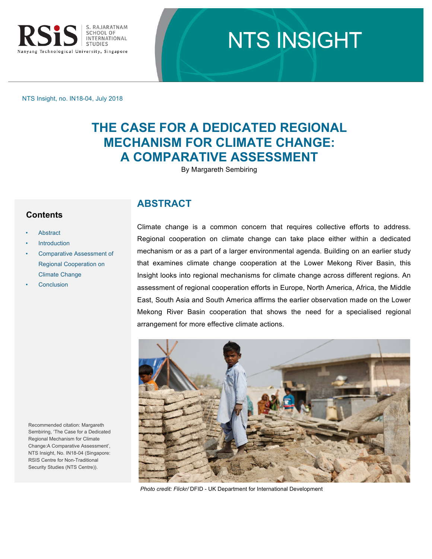

# **NTS INSIGHT**

NTS Insight, no. IN18-04, July 2018

# **THE CASE FOR A DEDICATED REGIONAL MECHANISM FOR CLIMATE CHANGE: A COMPARATIVE ASSESSMENT**

By Margareth Sembiring

#### **Contents**

- **Abstract**
- **[Introduction](#page-1-0)**
- [Comparative Assessment of](#page-1-0)  Regional Cooperation on Climate Change
- **[Conclusion](#page-6-0)**

# **ABSTRACT**

Climate change is a common concern that requires collective efforts to address. Regional cooperation on climate change can take place either within a dedicated mechanism or as a part of a larger environmental agenda. Building on an earlier study that examines climate change cooperation at the Lower Mekong River Basin, this Insight looks into regional mechanisms for climate change across different regions. An assessment of regional cooperation efforts in Europe, North America, Africa, the Middle East, South Asia and South America affirms the earlier observation made on the Lower Mekong River Basin cooperation that shows the need for a specialised regional arrangement for more effective climate actions.



*Photo credit: Flickr/* DFID - UK Department for International Development

Recommended citation: Margareth Sembiring, 'The Case for a Dedicated Regional Mechanism for Climate Change:A Comparative Assessment', NTS Insight, No. IN18-04 (Singapore: RSIS Centre for Non-Traditional Security Studies (NTS Centre)).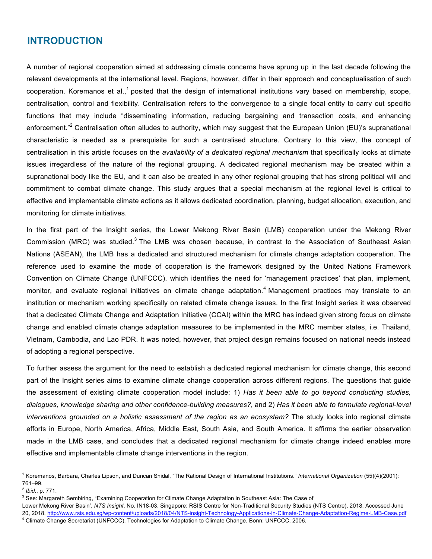### <span id="page-1-0"></span>**INTRODUCTION**

A number of regional cooperation aimed at addressing climate concerns have sprung up in the last decade following the relevant developments at the international level. Regions, however, differ in their approach and conceptualisation of such cooperation. Koremanos et al.,<sup>1</sup> posited that the design of international institutions vary based on membership, scope, centralisation, control and flexibility. Centralisation refers to the convergence to a single focal entity to carry out specific functions that may include "disseminating information, reducing bargaining and transaction costs, and enhancing enforcement."<sup>2</sup> Centralisation often alludes to authority, which may suggest that the European Union (EU)'s supranational characteristic is needed as a prerequisite for such a centralised structure. Contrary to this view, the concept of centralisation in this article focuses on the *availability of a dedicated regional mechanism* that specifically looks at climate issues irregardless of the nature of the regional grouping. A dedicated regional mechanism may be created within a supranational body like the EU, and it can also be created in any other regional grouping that has strong political will and commitment to combat climate change. This study argues that a special mechanism at the regional level is critical to effective and implementable climate actions as it allows dedicated coordination, planning, budget allocation, execution, and monitoring for climate initiatives.

In the first part of the Insight series, the Lower Mekong River Basin (LMB) cooperation under the Mekong River Commission (MRC) was studied.<sup>3</sup> The LMB was chosen because, in contrast to the Association of Southeast Asian Nations (ASEAN), the LMB has a dedicated and structured mechanism for climate change adaptation cooperation. The reference used to examine the mode of cooperation is the framework designed by the United Nations Framework Convention on Climate Change (UNFCCC), which identifies the need for 'management practices' that plan, implement, monitor, and evaluate regional initiatives on climate change adaptation.<sup>4</sup> Management practices may translate to an institution or mechanism working specifically on related climate change issues. In the first Insight series it was observed that a dedicated Climate Change and Adaptation Initiative (CCAI) within the MRC has indeed given strong focus on climate change and enabled climate change adaptation measures to be implemented in the MRC member states, i.e. Thailand, Vietnam, Cambodia, and Lao PDR. It was noted, however, that project design remains focused on national needs instead of adopting a regional perspective.

To further assess the argument for the need to establish a dedicated regional mechanism for climate change, this second part of the Insight series aims to examine climate change cooperation across different regions. The questions that guide the assessment of existing climate cooperation model include: 1) *Has it been able to go beyond conducting studies, dialogues, knowledge sharing and other confidence-building measures?*, and 2) *Has it been able to formulate regional-level interventions grounded on a holistic assessment of the region as an ecosystem?* The study looks into regional climate efforts in Europe, North America, Africa, Middle East, South Asia, and South America. It affirms the earlier observation made in the LMB case, and concludes that a dedicated regional mechanism for climate change indeed enables more effective and implementable climate change interventions in the region.

<sup>&</sup>lt;sup>1</sup> Koremanos, Barbara, Charles Lipson, and Duncan Snidal, "The Rational Design of International Institutions." *International Organization* (55)(4)(2001): 761–99.

<sup>2</sup> *Ibid*., p. 771.

<sup>&</sup>lt;sup>3</sup> See: Margareth Sembiring, "Examining Cooperation for Climate Change Adaptation in Southeast Asia: The Case of

Lower Mekong River Basin', *NTS Insight*, No. IN18-03. Singapore: RSIS Centre for Non-Traditional Security Studies (NTS Centre), 2018. Accessed June 20, 2018. http://www.rsis.edu.sg/wp-content/uploads/2018/04/NTS-insight-Technology-Applications-in-Climate-Change-Adaptation-Regime-LMB-Case.pdf <sup>4</sup> Climate Change Secretariat (UNFCCC). Technologies for Adaptation to Climate Change. Bonn: UNFCCC, 2006.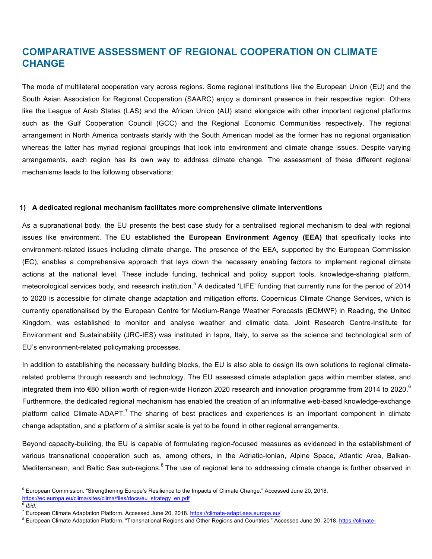## **COMPARATIVE ASSESSMENT OF REGIONAL COOPERATION ON CLIMATE CHANGE**

The mode of multilateral cooperation vary across regions. Some regional institutions like the European Union (EU) and the South Asian Association for Regional Cooperation (SAARC) enjoy a dominant presence in their respective region. Others like the League of Arab States (LAS) and the African Union (AU) stand alongside with other important regional platforms such as the Gulf Cooperation Council (GCC) and the Regional Economic Communities respectively. The regional arrangement in North America contrasts starkly with the South American model as the former has no regional organisation whereas the latter has myriad regional groupings that look into environment and climate change issues. Despite varying arrangements, each region has its own way to address climate change. The assessment of these different regional mechanisms leads to the following observations:

#### **1) A dedicated regional mechanism facilitates more comprehensive climate interventions**

As a supranational body, the EU presents the best case study for a centralised regional mechanism to deal with regional issues like environment. The EU established **the European Environment Agency (EEA)** that specifically looks into environment-related issues including climate change. The presence of the EEA, supported by the European Commission (EC), enables a comprehensive approach that lays down the necessary enabling factors to implement regional climate actions at the national level. These include funding, technical and policy support tools, knowledge-sharing platform, meteorological services body, and research institution.<sup>5</sup> A dedicated 'LIFE' funding that currently runs for the period of 2014 to 2020 is accessible for climate change adaptation and mitigation efforts. Copernicus Climate Change Services, which is currently operationalised by the European Centre for Medium-Range Weather Forecasts (ECMWF) in Reading, the United Kingdom, was established to monitor and analyse weather and climatic data. Joint Research Centre-Institute for Environment and Sustainability (JRC-IES) was instituted in Ispra, Italy, to serve as the science and technological arm of EU's environment-related policymaking processes.

In addition to establishing the necessary building blocks, the EU is also able to design its own solutions to regional climaterelated problems through research and technology. The EU assessed climate adaptation gaps within member states, and integrated them into €80 billion worth of region-wide Horizon 2020 research and innovation programme from 2014 to 2020.<sup>6</sup> Furthermore, the dedicated regional mechanism has enabled the creation of an informative web-based knowledge-exchange platform called Climate-ADAPT.<sup>7</sup> The sharing of best practices and experiences is an important component in climate change adaptation, and a platform of a similar scale is yet to be found in other regional arrangements.

Beyond capacity-building, the EU is capable of formulating region-focused measures as evidenced in the establishment of various transnational cooperation such as, among others, in the Adriatic-Ionian, Alpine Space, Atlantic Area, Balkan-Mediterranean, and Baltic Sea sub-regions.<sup>8</sup> The use of regional lens to addressing climate change is further observed in

 <sup>5</sup> European Commission. "Strengthening Europe's Resilience to the Impacts of Climate Change." Accessed June 20, 2018. https://ec.europa.eu/clima/sites/clima/files/docs/eu\_strategy\_en.pdf

 $6$  *Ibid*.

<sup>&</sup>lt;sup>7</sup> European Climate Adaptation Platform. Accessed June 20, 2018. https://climate-adapt.eea.europa.eu/

<sup>&</sup>lt;sup>8</sup> European Climate Adaptation Platform. "Transnational Regions and Other Regions and Countries." Accessed June 20, 2018. https://climate-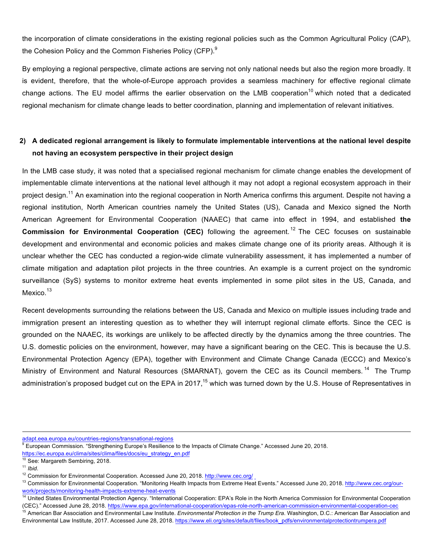the incorporation of climate considerations in the existing regional policies such as the Common Agricultural Policy (CAP), the Cohesion Policy and the Common Fisheries Policy (CFP).<sup>9</sup>

By employing a regional perspective, climate actions are serving not only national needs but also the region more broadly. It is evident, therefore, that the whole-of-Europe approach provides a seamless machinery for effective regional climate change actions. The EU model affirms the earlier observation on the LMB cooperation<sup>10</sup> which noted that a dedicated regional mechanism for climate change leads to better coordination, planning and implementation of relevant initiatives.

#### **2) A dedicated regional arrangement is likely to formulate implementable interventions at the national level despite not having an ecosystem perspective in their project design**

In the LMB case study, it was noted that a specialised regional mechanism for climate change enables the development of implementable climate interventions at the national level although it may not adopt a regional ecosystem approach in their project design.<sup>11</sup> An examination into the regional cooperation in North America confirms this argument. Despite not having a regional institution, North American countries namely the United States (US), Canada and Mexico signed the North American Agreement for Environmental Cooperation (NAAEC) that came into effect in 1994, and established **the Commission for Environmental Cooperation (CEC)** following the agreement.<sup>12</sup> The CEC focuses on sustainable development and environmental and economic policies and makes climate change one of its priority areas. Although it is unclear whether the CEC has conducted a region-wide climate vulnerability assessment, it has implemented a number of climate mitigation and adaptation pilot projects in the three countries. An example is a current project on the syndromic surveillance (SyS) systems to monitor extreme heat events implemented in some pilot sites in the US, Canada, and Mexico.<sup>13</sup>

Recent developments surrounding the relations between the US, Canada and Mexico on multiple issues including trade and immigration present an interesting question as to whether they will interrupt regional climate efforts. Since the CEC is grounded on the NAAEC, its workings are unlikely to be affected directly by the dynamics among the three countries. The U.S. domestic policies on the environment, however, may have a significant bearing on the CEC. This is because the U.S. Environmental Protection Agency (EPA), together with Environment and Climate Change Canada (ECCC) and Mexico's Ministry of Environment and Natural Resources (SMARNAT), govern the CEC as its Council members.<sup>14</sup> The Trump administration's proposed budget cut on the EPA in 2017,<sup>15</sup> which was turned down by the U.S. House of Representatives in

adapt.eea.europa.eu/countries-regions/transnational-regions

<sup>9</sup> European Commission. "Strengthening Europe's Resilience to the Impacts of Climate Change." Accessed June 20, 2018.

https://ec.europa.eu/clima/sites/clima/files/docs/eu\_strategy\_en.pdf

 $10^{10}$  See: Margareth Sembiring, 2018.<br> $11$  Ibid

<sup>&</sup>lt;sup>12</sup> Commission for Environmental Cooperation. Accessed June 20, 2018. http://www.cec.org/

<sup>&</sup>lt;sup>13</sup> Commission for Environmental Cooperation. "Monitoring Health Impacts from Extreme Heat Events." Accessed June 20, 2018. http://www.cec.org/ourwork/projects/monitoring-health-impacts-extreme-heat-events

<sup>&</sup>lt;sup>14</sup> United States Environmental Protection Agency. "International Cooperation: EPA's Role in the North America Commission for Environmental Cooperation

<sup>(</sup>CEC)." Accessed June 28, 2018. https://www.epa.gov/international-cooperation/epas-role-north-american-commission-environmental-cooperation-cec

<sup>&</sup>lt;sup>15</sup> American Bar Association and Environmental Law Institute. *Environmental Protection in the Trump Era*. Washington, D.C.: American Bar Association and Environmental Law Institute, 2017. Accessed June 28, 2018. https://www.eli.org/sites/default/files/book\_pdfs/environmentalprotectiontrumpera.pdf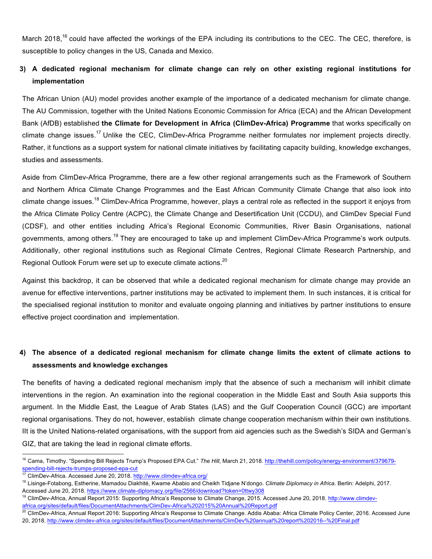March 2018,<sup>16</sup> could have affected the workings of the EPA including its contributions to the CEC. The CEC, therefore, is susceptible to policy changes in the US, Canada and Mexico.

#### **3) A dedicated regional mechanism for climate change can rely on other existing regional institutions for implementation**

The African Union (AU) model provides another example of the importance of a dedicated mechanism for climate change. The AU Commission, together with the United Nations Economic Commission for Africa (ECA) and the African Development Bank (AfDB) established **the Climate for Development in Africa (ClimDev-Africa) Programme** that works specifically on climate change issues.<sup>17</sup> Unlike the CEC, ClimDev-Africa Programme neither formulates nor implement projects directly. Rather, it functions as a support system for national climate initiatives by facilitating capacity building, knowledge exchanges, studies and assessments.

Aside from ClimDev-Africa Programme, there are a few other regional arrangements such as the Framework of Southern and Northern Africa Climate Change Programmes and the East African Community Climate Change that also look into climate change issues.<sup>18</sup> ClimDev-Africa Programme, however, plays a central role as reflected in the support it enjoys from the Africa Climate Policy Centre (ACPC), the Climate Change and Desertification Unit (CCDU), and ClimDev Special Fund (CDSF), and other entities including Africa's Regional Economic Communities, River Basin Organisations, national governments, among others.<sup>19</sup> They are encouraged to take up and implement ClimDev-Africa Programme's work outputs. Additionally, other regional institutions such as Regional Climate Centres, Regional Climate Research Partnership, and Regional Outlook Forum were set up to execute climate actions.<sup>20</sup>

Against this backdrop, it can be observed that while a dedicated regional mechanism for climate change may provide an avenue for effective interventions, partner institutions may be activated to implement them. In such instances, it is critical for the specialised regional institution to monitor and evaluate ongoing planning and initiatives by partner institutions to ensure effective project coordination and implementation.

#### **4) The absence of a dedicated regional mechanism for climate change limits the extent of climate actions to assessments and knowledge exchanges**

The benefits of having a dedicated regional mechanism imply that the absence of such a mechanism will inhibit climate interventions in the region. An examination into the regional cooperation in the Middle East and South Asia supports this argument. In the Middle East, the League of Arab States (LAS) and the Gulf Cooperation Council (GCC) are important regional organisations. They do not, however, establish climate change cooperation mechanism within their own institutions. IIt is the United Nations-related organisations, with the support from aid agencies such as the Swedish's SIDA and German's GIZ, that are taking the lead in regional climate efforts.

 <sup>16</sup> Cama, Timothy. "Spending Bill Rejects Trump's Proposed EPA Cut." *The Hill*, March 21, 2018. http://thehill.com/policy/energy-environment/379679 spending-bill-rejects-trumps-proposed-epa-cut<br><sup>17</sup> ClimDev-Africa. Accessed June 20, 2018. http://www.climdev-africa.org/

<sup>&</sup>lt;sup>18</sup> Lisinge-Fotabong, Estherine, Mamadou Diakhité, Kwame Ababio and Cheikh Tidjane N'dongo. *Climate Diplomacy in Africa*. Berlin: Adelphi, 2017. Accessed June 20, 2018. https://www.climate-diplomacy.org/file/2566/download?token=0ttwy308

<sup>&</sup>lt;sup>19</sup> ClimDev-Africa, Annual Report 2015: Supporting Africa's Response to Climate Change, 2015. Accessed June 20, 2018. http://www.climdevafrica.org/sites/default/files/DocumentAttachments/ClimDev-Africa%202015%20Annual%20Report.pdf

<sup>&</sup>lt;sup>20</sup> ClimDev-Africa, Annual Report 2016: Supporting Africa's Response to Climate Change. Addis Ababa: Africa Climate Policy Center, 2016. Accessed June 20, 2018. http://www.climdev-africa.org/sites/default/files/DocumentAttachments/ClimDev%20annual%20report%202016--%20Final.pdf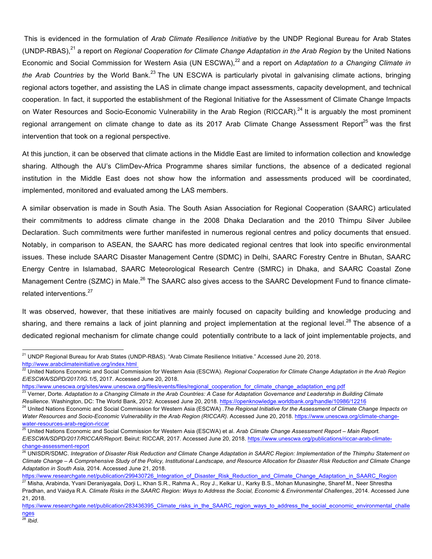This is evidenced in the formulation of *Arab Climate Resilience Initiative* by the UNDP Regional Bureau for Arab States (UNDP-RBAS),<sup>21</sup> a report on *Regional Cooperation for Climate Change Adaptation in the Arab Region* by the United Nations Economic and Social Commission for Western Asia (UN ESCWA),<sup>22</sup> and a report on *Adaptation to a Changing Climate in* the Arab Countries by the World Bank.<sup>23</sup> The UN ESCWA is particularly pivotal in galvanising climate actions, bringing regional actors together, and assisting the LAS in climate change impact assessments, capacity development, and technical cooperation. In fact, it supported the establishment of the Regional Initiative for the Assessment of Climate Change Impacts on Water Resources and Socio-Economic Vulnerability in the Arab Region (RICCAR).<sup>24</sup> It is arguably the most prominent regional arrangement on climate change to date as its 2017 Arab Climate Change Assessment Report<sup>25</sup> was the first intervention that took on a regional perspective.

At this junction, it can be observed that climate actions in the Middle East are limited to information collection and knowledge sharing. Although the AU's ClimDev-Africa Programme shares similar functions, the absence of a dedicated regional institution in the Middle East does not show how the information and assessments produced will be coordinated, implemented, monitored and evaluated among the LAS members.

A similar observation is made in South Asia. The South Asian Association for Regional Cooperation (SAARC) articulated their commitments to address climate change in the 2008 Dhaka Declaration and the 2010 Thimpu Silver Jubilee Declaration. Such commitments were further manifested in numerous regional centres and policy documents that ensued. Notably, in comparison to ASEAN, the SAARC has more dedicated regional centres that look into specific environmental issues. These include SAARC Disaster Management Centre (SDMC) in Delhi, SAARC Forestry Centre in Bhutan, SAARC Energy Centre in Islamabad, SAARC Meteorological Research Centre (SMRC) in Dhaka, and SAARC Coastal Zone Management Centre (SZMC) in Male.<sup>26</sup> The SAARC also gives access to the SAARC Development Fund to finance climaterelated interventions.<sup>27</sup>

It was observed, however, that these initiatives are mainly focused on capacity building and knowledge producing and sharing, and there remains a lack of joint planning and project implementation at the regional level.<sup>28</sup> The absence of a dedicated regional mechanism for climate change could potentially contribute to a lack of joint implementable projects, and

https://www.unescwa.org/sites/www.unescwa.org/files/events/files/regional\_cooperation\_for\_climate\_change\_adaptation\_eng.pdf

<sup>&</sup>lt;sup>21</sup> UNDP Regional Bureau for Arab States (UNDP-RBAS). "Arab Climate Resilience Initiative." Accessed June 20, 2018. http://www.arabclimateinitiative.org/index.html

<sup>&</sup>lt;sup>22</sup> United Nations Economic and Social Commission for Western Asia (ESCWA). Regional Cooperation for Climate Change Adaptation in the Arab Region *E/ESCWA/SDPD/2017/IG.1/5*, 2017. Accessed June 20, 2018.

<sup>&</sup>lt;sup>23</sup> Verner, Dorte. Adaptation to a Changing Climate in the Arab Countries: A Case for Adaptation Governance and Leadership in Building Climate *Resilience*. Washington, DC: The World Bank, 2012. Accessed June 20, 2018. https://openknowledge.worldbank.org/handle/10986/12216

<sup>&</sup>lt;sup>24</sup> United Nations Economic and Social Commission for Western Asia (ESCWA) . The Regional Initiative for the Assessment of Climate Change Impacts on *Water Resources and Socio-Economic Vulnerability in the Arab Region (RICCAR)*. Accessed June 20, 2018. https://www.unescwa.org/climate-changewater-resources-arab-region-riccar

<sup>25</sup> United Nations Economic and Social Commission for Western Asia (ESCWA) et al. *Arab Climate Change Assessment Report – Main Report.* 

*E/ESCWA/SDPD/2017/RICCAR/Report*. Beirut: RICCAR, 2017. Accessed June 20, 2018. https://www.unescwa.org/publications/riccar-arab-climatechange-assessment-report

<sup>26</sup> UNISDR/SDMC. *Integration of Disaster Risk Reduction and Climate Change Adaptation in SAARC Region: Implementation of the Thimphu Statement on Climate Change – A Comprehensive Study of the Policy, Institutional Landscape, and Resource Allocation for Disaster Risk Reduction and Climate Change Adaptation in South Asia,* 2014. Accessed June 21, 2018.

https://www.researchgate.net/publication/299430726\_Integration\_of\_Disaster\_Risk\_Reduction\_and\_Climate\_Change\_Adaptation\_in\_SAARC\_Region <sup>27</sup> Misha, Arabinda, Yvani Deraniyagala, Dorji L, Khan S.R., Rahma A., Roy J., Kelkar U., Karky B.S., Mohan Munasinghe, Sharef M., Neer Shrestha

Pradhan, and Vaidya R.A. *Climate Risks in the SAARC Region: Ways to Address the Social, Economic & Environmental Challenges*, 2014. Accessed June 21, 2018.

https://www.researchgate.net/publication/283436395 Climate\_risks\_in\_the\_SAARC\_region\_ways\_to\_address\_the\_social\_economic\_environmental\_challe nges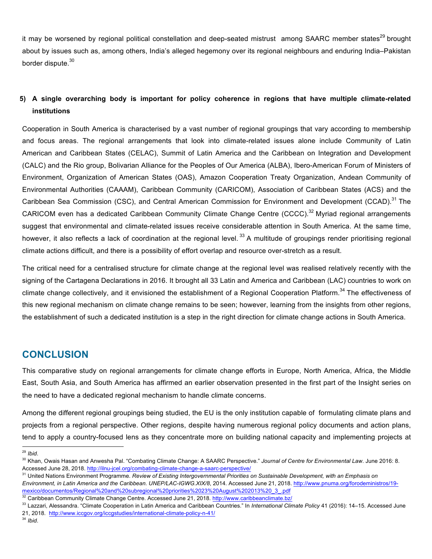<span id="page-6-0"></span>it may be worsened by regional political constellation and deep-seated mistrust among SAARC member states<sup>29</sup> brought about by issues such as, among others, India's alleged hegemony over its regional neighbours and enduring India–Pakistan border dispute.<sup>30</sup>

#### **5) A single overarching body is important for policy coherence in regions that have multiple climate-related institutions**

Cooperation in South America is characterised by a vast number of regional groupings that vary according to membership and focus areas. The regional arrangements that look into climate-related issues alone include Community of Latin American and Caribbean States (CELAC), Summit of Latin America and the Caribbean on Integration and Development (CALC) and the Rio group, Bolivarian Alliance for the Peoples of Our America (ALBA), Ibero-American Forum of Ministers of Environment, Organization of American States (OAS), Amazon Cooperation Treaty Organization, Andean Community of Environmental Authorities (CAAAM), Caribbean Community (CARICOM), Association of Caribbean States (ACS) and the Caribbean Sea Commission (CSC), and Central American Commission for Environment and Development (CCAD).<sup>31</sup> The CARICOM even has a dedicated Caribbean Community Climate Change Centre (CCCC).<sup>32</sup> Myriad regional arrangements suggest that environmental and climate-related issues receive considerable attention in South America. At the same time, however, it also reflects a lack of coordination at the regional level.<sup>33</sup> A multitude of groupings render prioritising regional climate actions difficult, and there is a possibility of effort overlap and resource over-stretch as a result.

The critical need for a centralised structure for climate change at the regional level was realised relatively recently with the signing of the Cartagena Declarations in 2016. It brought all 33 Latin and America and Caribbean (LAC) countries to work on climate change collectively, and it envisioned the establishment of a Regional Cooperation Platform.<sup>34</sup> The effectiveness of this new regional mechanism on climate change remains to be seen; however, learning from the insights from other regions, the establishment of such a dedicated institution is a step in the right direction for climate change actions in South America.

#### **CONCLUSION**

This comparative study on regional arrangements for climate change efforts in Europe, North America, Africa, the Middle East, South Asia, and South America has affirmed an earlier observation presented in the first part of the Insight series on the need to have a dedicated regional mechanism to handle climate concerns.

Among the different regional groupings being studied, the EU is the only institution capable of formulating climate plans and projects from a regional perspective. Other regions, despite having numerous regional policy documents and action plans, tend to apply a country-focused lens as they concentrate more on building national capacity and implementing projects at

*Environment, in Latin America and the Caribbean. UNEP/LAC-IGWG.XIX/8*, 2014. Accessed June 21, 2018. http://www.pnuma.org/forodeministros/19 mexico/documentos/Regional%20and%20subregional%20priorities%2023%20August%202013%20\_3\_.pdf 32 Caribbean Community Climate Change Centre. Accessed June 21, 2018. http://www.caribbeanclimate.bz/

<sup>34</sup> *Ibid*.

<sup>29</sup> *Ibid*. 30 Khan, Owais Hasan and Anwesha Pal. "Combating Climate Change: A SAARC Perspective." *Journal of Centre for Environmental Law*. June 2016: 8. Accessed June 28, 2018. http://ilnu-jcel.org/combating-climate-change-a-saarc-perspective/

<sup>31</sup> United Nations Environment Programme. *Review of Existing Intergovernmental Priorities on Sustainable Development, with an Emphasis on* 

<sup>33</sup> Lazzari, Alessandra. "Climate Cooperation in Latin America and Caribbean Countries." In *International Climate Policy* 41 (2016): 14–15. Accessed June 21, 2018. http://www.iccgov.org/iccgstudies/international-climate-policy-n-41/